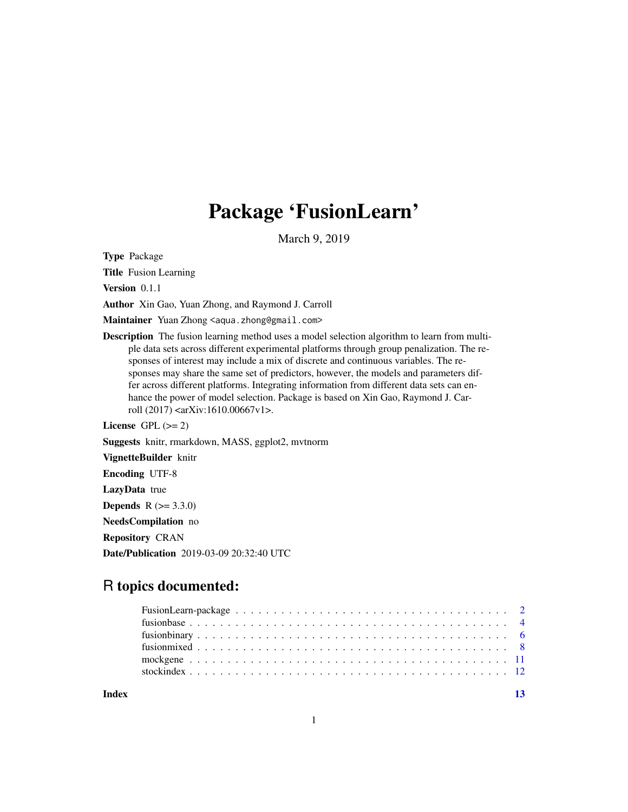## Package 'FusionLearn'

March 9, 2019

Type Package

Title Fusion Learning

Version 0.1.1

Author Xin Gao, Yuan Zhong, and Raymond J. Carroll

Maintainer Yuan Zhong <aqua.zhong@gmail.com>

Description The fusion learning method uses a model selection algorithm to learn from multiple data sets across different experimental platforms through group penalization. The responses of interest may include a mix of discrete and continuous variables. The responses may share the same set of predictors, however, the models and parameters differ across different platforms. Integrating information from different data sets can enhance the power of model selection. Package is based on Xin Gao, Raymond J. Carroll (2017) <arXiv:1610.00667v1>.

License GPL  $(>= 2)$ 

Suggests knitr, rmarkdown, MASS, ggplot2, mvtnorm

VignetteBuilder knitr

Encoding UTF-8

LazyData true

**Depends**  $R (= 3.3.0)$ 

NeedsCompilation no

Repository CRAN

Date/Publication 2019-03-09 20:32:40 UTC

## R topics documented:

**Index** [13](#page-12-0)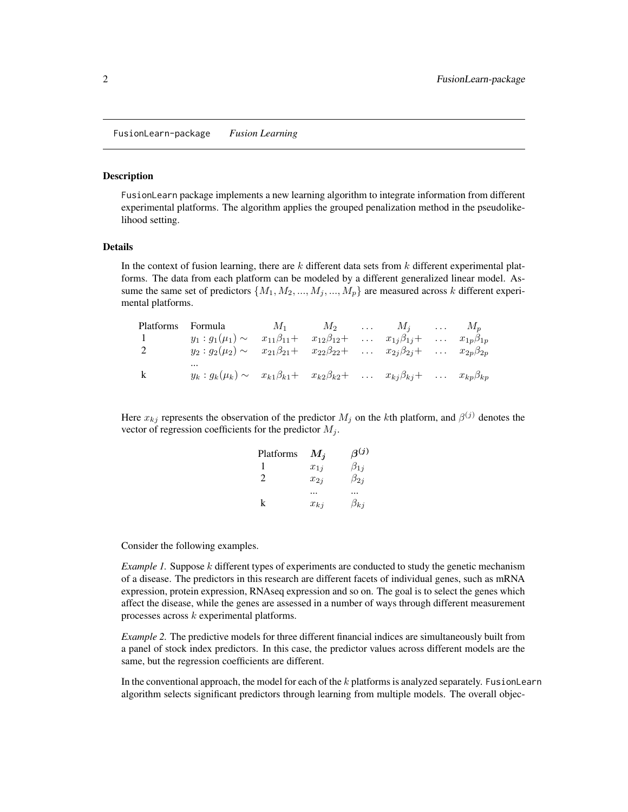<span id="page-1-0"></span>FusionLearn-package *Fusion Learning*

#### <span id="page-1-1"></span>Description

FusionLearn package implements a new learning algorithm to integrate information from different experimental platforms. The algorithm applies the grouped penalization method in the pseudolikelihood setting.

#### Details

In the context of fusion learning, there are  $k$  different data sets from  $k$  different experimental platforms. The data from each platform can be modeled by a different generalized linear model. Assume the same set of predictors  $\{M_1, M_2, ..., M_j, ..., M_p\}$  are measured across k different experimental platforms.

|   | Platforms Formula                                                                                                         | $M_1$ $M_2$ $\ldots$ $M_j$ $\ldots$ $M_p$ |  |  |  |
|---|---------------------------------------------------------------------------------------------------------------------------|-------------------------------------------|--|--|--|
|   | $y_1: g_1(\mu_1) \sim x_{11}\beta_{11} + x_{12}\beta_{12} + \dots x_{1j}\beta_{1j} + \dots x_{1p}\beta_{1p}$              |                                           |  |  |  |
|   | $y_2: g_2(\mu_2) \sim x_{21}\beta_{21} + x_{22}\beta_{22} + \dots x_{2j}\beta_{2j} + \dots x_{2p}\beta_{2p}$              |                                           |  |  |  |
| k | $\cdots$<br>$y_k : g_k(\mu_k) \sim x_{k1}\beta_{k1} + x_{k2}\beta_{k2} + \dots x_{kj}\beta_{kj} + \dots x_{kp}\beta_{kp}$ |                                           |  |  |  |

Here  $x_{kj}$  represents the observation of the predictor  $M_j$  on the kth platform, and  $\beta^{(j)}$  denotes the vector of regression coefficients for the predictor  $M_j$ .

| Platforms      | $M_i$    | $\beta^{(j)}$ |
|----------------|----------|---------------|
|                | $x_{1i}$ | $\beta_{1j}$  |
| $\mathfrak{D}$ | $x_{2i}$ | $\beta_{2j}$  |
|                |          |               |
| k              | $x_{kj}$ | $\beta_{kj}$  |

Consider the following examples.

*Example 1.* Suppose k different types of experiments are conducted to study the genetic mechanism of a disease. The predictors in this research are different facets of individual genes, such as mRNA expression, protein expression, RNAseq expression and so on. The goal is to select the genes which affect the disease, while the genes are assessed in a number of ways through different measurement processes across  $k$  experimental platforms.

*Example 2.* The predictive models for three different financial indices are simultaneously built from a panel of stock index predictors. In this case, the predictor values across different models are the same, but the regression coefficients are different.

In the conventional approach, the model for each of the  $k$  platforms is analyzed separately. FusionLearn algorithm selects significant predictors through learning from multiple models. The overall objec-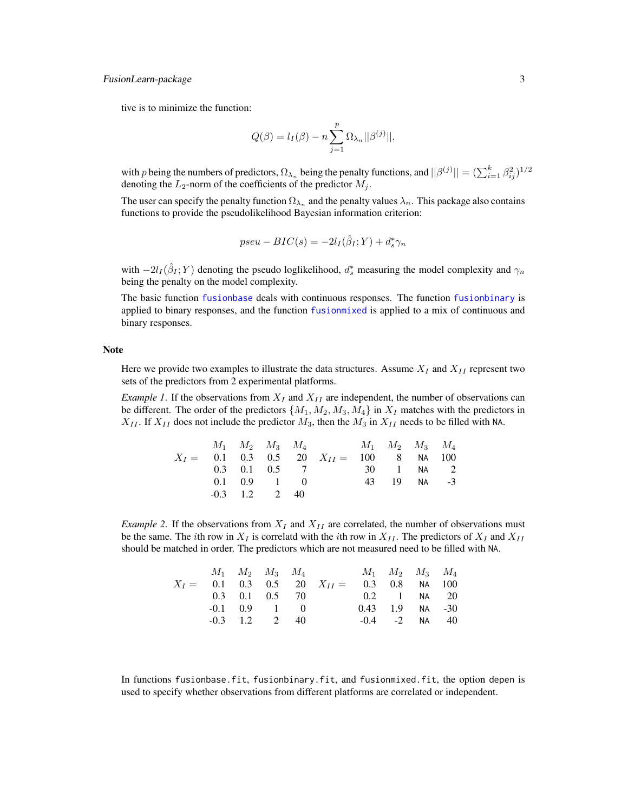#### <span id="page-2-0"></span>FusionLearn-package 3

tive is to minimize the function:

$$
Q(\beta) = l_I(\beta) - n \sum_{j=1}^p \Omega_{\lambda_n} ||\beta^{(j)}||,
$$

with p being the numbers of predictors,  $\Omega_{\lambda_n}$  being the penalty functions, and  $||\beta^{(j)}|| = (\sum_{i=1}^k \beta_{ij}^2)^{1/2}$ denoting the  $L_2$ -norm of the coefficients of the predictor  $M_j$ .

The user can specify the penalty function  $\Omega_{\lambda_n}$  and the penalty values  $\lambda_n$ . This package also contains functions to provide the pseudolikelihood Bayesian information criterion:

$$
pseu-BIC(s) = -2l_I(\hat{\beta}_I;Y) + d_s^*\gamma_n
$$

with  $-2l_I(\hat{\beta}_I;Y)$  denoting the pseudo loglikelihood,  $d_s^*$  measuring the model complexity and  $\gamma_n$ being the penalty on the model complexity.

The basic function [fusionbase](#page-3-1) deals with continuous responses. The function [fusionbinary](#page-5-1) is applied to binary responses, and the function [fusionmixed](#page-7-1) is applied to a mix of continuous and binary responses.

#### Note

Here we provide two examples to illustrate the data structures. Assume  $X_I$  and  $X_{II}$  represent two sets of the predictors from 2 experimental platforms.

*Example 1*. If the observations from  $X_I$  and  $X_{II}$  are independent, the number of observations can be different. The order of the predictors  $\{M_1, M_2, M_3, M_4\}$  in  $X_I$  matches with the predictors in  $X_{II}$ . If  $X_{II}$  does not include the predictor  $M_3$ , then the  $M_3$  in  $X_{II}$  needs to be filled with NA.

|  |                     | $M_1$ $M_2$ $M_3$ $M_4$ $M_1$ $M_2$ $M_3$ $M_4$                   |  |             |  |
|--|---------------------|-------------------------------------------------------------------|--|-------------|--|
|  |                     | $X_I = 0.1 \t 0.3 \t 0.5 \t 20 \t X_{II} = 100 \t 8 \t NA \t 100$ |  |             |  |
|  | $0.3$ $0.1$ $0.5$ 7 | 30 1 NA 2                                                         |  |             |  |
|  | $0.1 \t0.9 \t1 \t0$ |                                                                   |  | 43 19 NA -3 |  |
|  | $-0.3$ 1.2 2 40     |                                                                   |  |             |  |

*Example 2.* If the observations from  $X_I$  and  $X_{II}$  are correlated, the number of observations must be the same. The *i*th row in  $X_I$  is correlatd with the *i*th row in  $X_{II}$ . The predictors of  $X_I$  and  $X_{II}$ should be matched in order. The predictors which are not measured need to be filled with NA.

|                      |                    |  | $M_1$ $M_2$ $M_3$ $M_4$ $M_1$ $M_2$ $M_3$ $M_4$ |  |                      |  |
|----------------------|--------------------|--|-------------------------------------------------|--|----------------------|--|
|                      |                    |  | $X_I = 0.1 \t 0.3 \t 0.5 \t 20 \t X_{II} =$     |  | $0.3$ $0.8$ NA $100$ |  |
| $0.3$ $0.1$ $0.5$ 70 |                    |  | 0.2 1 NA 20                                     |  |                      |  |
|                      | $-0.1$ $0.9$ $1$ 0 |  |                                                 |  | $0.43$ 1.9 NA -30    |  |
|                      | $-0.3$ 1.2 2 40    |  |                                                 |  | $-0.4$ $-2$ NA 40    |  |

In functions fusionbase.fit, fusionbinary.fit, and fusionmixed.fit, the option depen is used to specify whether observations from different platforms are correlated or independent.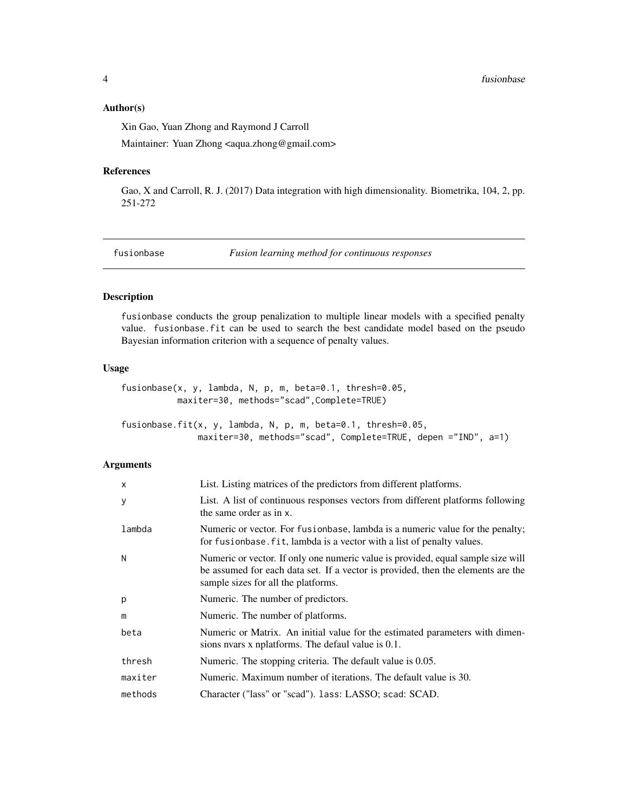#### <span id="page-3-0"></span>Author(s)

Xin Gao, Yuan Zhong and Raymond J Carroll Maintainer: Yuan Zhong <aqua.zhong@gmail.com>

## References

Gao, X and Carroll, R. J. (2017) Data integration with high dimensionality. Biometrika, 104, 2, pp. 251-272

<span id="page-3-1"></span>fusionbase *Fusion learning method for continuous responses*

## Description

fusionbase conducts the group penalization to multiple linear models with a specified penalty value. fusionbase.fit can be used to search the best candidate model based on the pseudo Bayesian information criterion with a sequence of penalty values.

#### Usage

```
fusionbase(x, y, lambda, N, p, m, beta=0.1, thresh=0.05,
           maxiter=30, methods="scad",Complete=TRUE)
```
fusionbase.fit(x, y, lambda, N, p, m, beta=0.1, thresh=0.05, maxiter=30, methods="scad", Complete=TRUE, depen ="IND", a=1)

## Arguments

| $\times$ | List. Listing matrices of the predictors from different platforms.                                                                                                                                          |
|----------|-------------------------------------------------------------------------------------------------------------------------------------------------------------------------------------------------------------|
| y        | List. A list of continuous responses vectors from different platforms following<br>the same order as in x.                                                                                                  |
| lambda   | Numeric or vector. For fusion base, lambda is a numeric value for the penalty;<br>for fusionbase. fit, lambda is a vector with a list of penalty values.                                                    |
| N        | Numeric or vector. If only one numeric value is provided, equal sample size will<br>be assumed for each data set. If a vector is provided, then the elements are the<br>sample sizes for all the platforms. |
| p        | Numeric. The number of predictors.                                                                                                                                                                          |
| m        | Numeric. The number of platforms.                                                                                                                                                                           |
| beta     | Numeric or Matrix. An initial value for the estimated parameters with dimen-<br>sions nyars x nplatforms. The defaul value is 0.1.                                                                          |
| thresh   | Numeric. The stopping criteria. The default value is 0.05.                                                                                                                                                  |
| maxiter  | Numeric. Maximum number of iterations. The default value is 30.                                                                                                                                             |
| methods  | Character ("lass" or "scad"). lass: LASSO; scad: SCAD.                                                                                                                                                      |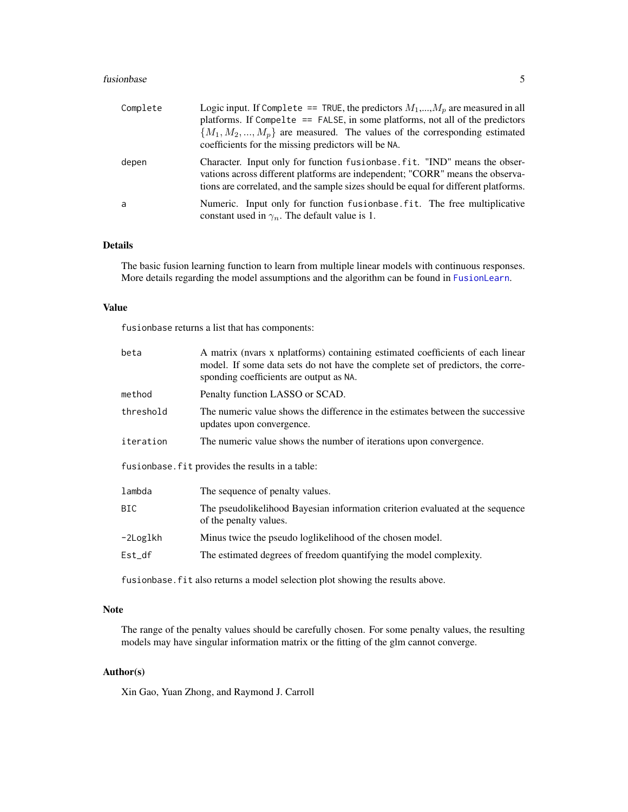#### <span id="page-4-0"></span>fusionbase 5

| Complete | Logic input. If Complete == TRUE, the predictors $M_1,,M_n$ are measured in all<br>platforms. If Compelte $==$ FALSE, in some platforms, not all of the predictors<br>${M_1, M_2, , M_n}$ are measured. The values of the corresponding estimated<br>coefficients for the missing predictors will be NA. |
|----------|----------------------------------------------------------------------------------------------------------------------------------------------------------------------------------------------------------------------------------------------------------------------------------------------------------|
| depen    | Character. Input only for function fusionbase. fit. "IND" means the obser-<br>vations across different platforms are independent; "CORR" means the observa-<br>tions are correlated, and the sample sizes should be equal for different platforms.                                                       |
| a        | Numeric. Input only for function fusion base fit. The free multiplicative<br>constant used in $\gamma_n$ . The default value is 1.                                                                                                                                                                       |

## Details

The basic fusion learning function to learn from multiple linear models with continuous responses. More details regarding the model assumptions and the algorithm can be found in [FusionLearn](#page-1-1).

## Value

fusionbase returns a list that has components:

| beta      | A matrix (nvars x nplatforms) containing estimated coefficients of each linear<br>model. If some data sets do not have the complete set of predictors, the corre-<br>sponding coefficients are output as NA. |
|-----------|--------------------------------------------------------------------------------------------------------------------------------------------------------------------------------------------------------------|
| method    | Penalty function LASSO or SCAD.                                                                                                                                                                              |
| threshold | The numeric value shows the difference in the estimates between the successive<br>updates upon convergence.                                                                                                  |
| iteration | The numeric value shows the number of iterations upon convergence.                                                                                                                                           |
|           | fusionbase. fit provides the results in a table:                                                                                                                                                             |
| lambda    | The sequence of penalty values.                                                                                                                                                                              |
| BIC.      | The pseudolikelihood Bayesian information criterion evaluated at the sequence<br>of the penalty values.                                                                                                      |
| -2Loglkh  | Minus twice the pseudo loglikelihood of the chosen model.                                                                                                                                                    |
| $Est_d$   | The estimated degrees of freedom quantifying the model complexity.                                                                                                                                           |
|           |                                                                                                                                                                                                              |

fusionbase.fit also returns a model selection plot showing the results above.

#### Note

The range of the penalty values should be carefully chosen. For some penalty values, the resulting models may have singular information matrix or the fitting of the glm cannot converge.

## Author(s)

Xin Gao, Yuan Zhong, and Raymond J. Carroll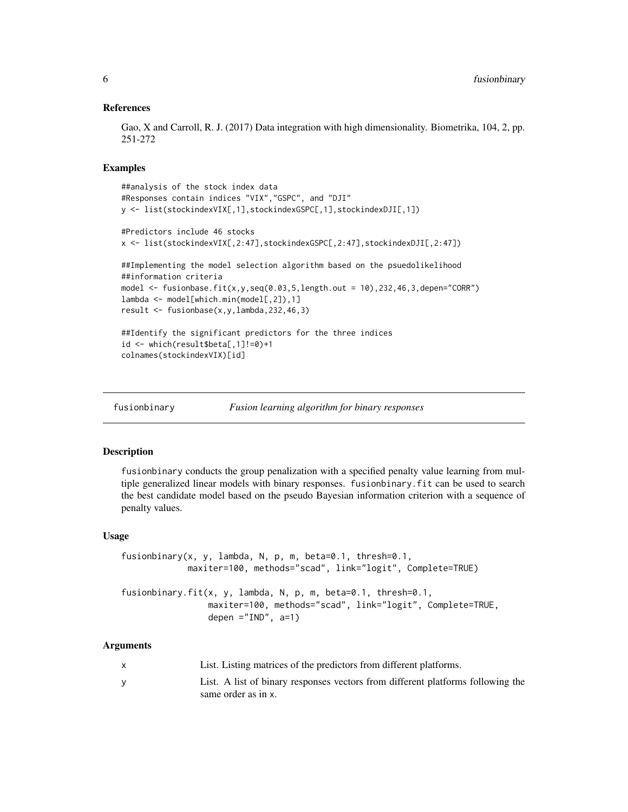#### References

Gao, X and Carroll, R. J. (2017) Data integration with high dimensionality. Biometrika, 104, 2, pp. 251-272

#### Examples

```
##analysis of the stock index data
#Responses contain indices "VIX","GSPC", and "DJI"
y <- list(stockindexVIX[,1],stockindexGSPC[,1],stockindexDJI[,1])
#Predictors include 46 stocks
x <- list(stockindexVIX[,2:47],stockindexGSPC[,2:47],stockindexDJI[,2:47])
##Implementing the model selection algorithm based on the psuedolikelihood
##information criteria
model \leq fusionbase.fit(x,y,seq(0.03,5,length.out = 10),232,46,3,depen="CORR")
lambda <- model[which.min(model[,2]),1]
result <- fusionbase(x,y,lambda,232,46,3)
##Identify the significant predictors for the three indices
id <- which(result$beta[,1]!=0)+1
colnames(stockindexVIX)[id]
```
<span id="page-5-1"></span>fusionbinary *Fusion learning algorithm for binary responses*

#### Description

fusionbinary conducts the group penalization with a specified penalty value learning from multiple generalized linear models with binary responses. fusionbinary.fit can be used to search the best candidate model based on the pseudo Bayesian information criterion with a sequence of penalty values.

#### Usage

```
fusionbinary(x, y, lambda, N, p, m, beta=0.1, thresh=0.1,
             maxiter=100, methods="scad", link="logit", Complete=TRUE)
fusionbinary.fit(x, y, lambda, N, p, m, beta=0.1, thresh=0.1,
                 maxiter=100, methods="scad", link="logit", Complete=TRUE,
                 depen ="IND", a=1)
```
#### Arguments

| List. Listing matrices of the predictors from different platforms.              |
|---------------------------------------------------------------------------------|
| List. A list of binary responses vectors from different platforms following the |
| same order as in x.                                                             |

<span id="page-5-0"></span>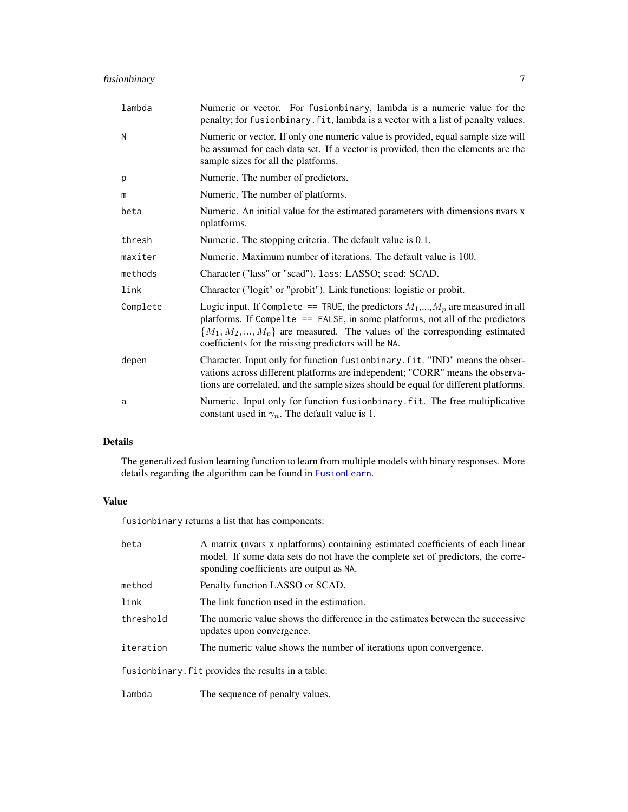## <span id="page-6-0"></span>fusionbinary 7

| lambda   | Numeric or vector. For fusionbinary, lambda is a numeric value for the<br>penalty; for fusionbinary. fit, lambda is a vector with a list of penalty values.                                                                                                                                            |
|----------|--------------------------------------------------------------------------------------------------------------------------------------------------------------------------------------------------------------------------------------------------------------------------------------------------------|
| N        | Numeric or vector. If only one numeric value is provided, equal sample size will<br>be assumed for each data set. If a vector is provided, then the elements are the<br>sample sizes for all the platforms.                                                                                            |
| p        | Numeric. The number of predictors.                                                                                                                                                                                                                                                                     |
| m        | Numeric. The number of platforms.                                                                                                                                                                                                                                                                      |
| beta     | Numeric. An initial value for the estimated parameters with dimensions nvars x<br>nplatforms.                                                                                                                                                                                                          |
| thresh   | Numeric. The stopping criteria. The default value is 0.1.                                                                                                                                                                                                                                              |
| maxiter  | Numeric. Maximum number of iterations. The default value is 100.                                                                                                                                                                                                                                       |
| methods  | Character ("lass" or "scad"). lass: LASSO; scad: SCAD.                                                                                                                                                                                                                                                 |
| link     | Character ("logit" or "probit"). Link functions: logistic or probit.                                                                                                                                                                                                                                   |
| Complete | Logic input. If Complete == TRUE, the predictors $M_1,,M_p$ are measured in all<br>platforms. If Compelte == FALSE, in some platforms, not all of the predictors<br>${M_1, M_2, , M_p}$ are measured. The values of the corresponding estimated<br>coefficients for the missing predictors will be NA. |
| depen    | Character. Input only for function fusionbinary. fit. "IND" means the obser-<br>vations across different platforms are independent; "CORR" means the observa-<br>tions are correlated, and the sample sizes should be equal for different platforms.                                                   |
| a        | Numeric. Input only for function fusionbinary. fit. The free multiplicative<br>constant used in $\gamma_n$ . The default value is 1.                                                                                                                                                                   |

## Details

The generalized fusion learning function to learn from multiple models with binary responses. More details regarding the algorithm can be found in [FusionLearn](#page-1-1).

### Value

fusionbinary returns a list that has components:

| beta      | A matrix (nvars x nplatforms) containing estimated coefficients of each linear<br>model. If some data sets do not have the complete set of predictors, the corre-<br>sponding coefficients are output as NA. |
|-----------|--------------------------------------------------------------------------------------------------------------------------------------------------------------------------------------------------------------|
| method    | Penalty function LASSO or SCAD.                                                                                                                                                                              |
| link      | The link function used in the estimation.                                                                                                                                                                    |
| threshold | The numeric value shows the difference in the estimates between the successive<br>updates upon convergence.                                                                                                  |
| iteration | The numeric value shows the number of iterations upon convergence.                                                                                                                                           |
|           | fusionbinary. fit provides the results in a table:                                                                                                                                                           |
| lambda    | The sequence of penalty values.                                                                                                                                                                              |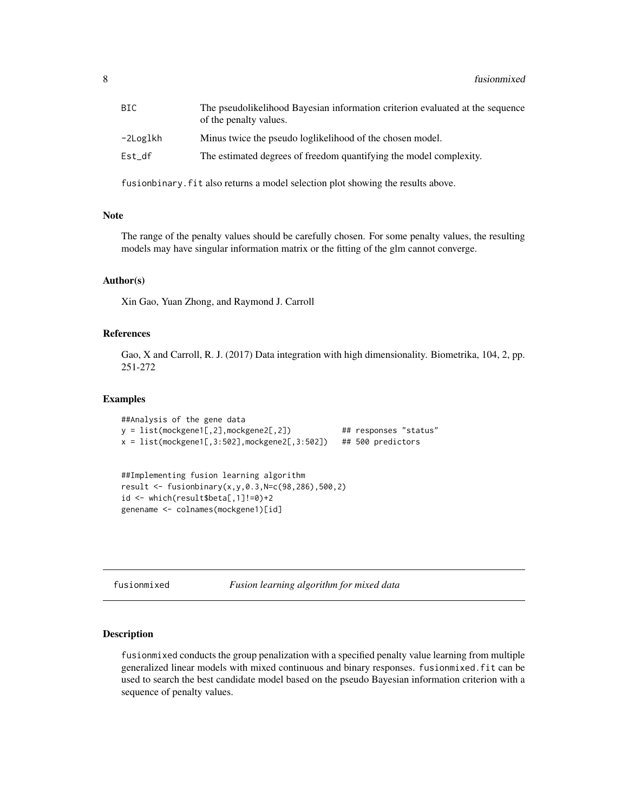<span id="page-7-0"></span>

| BIC      | The pseudolikelihood Bayesian information criterion evaluated at the sequence<br>of the penalty values. |
|----------|---------------------------------------------------------------------------------------------------------|
| -2Loglkh | Minus twice the pseudo loglikelihood of the chosen model.                                               |
| Est df   | The estimated degrees of freedom quantifying the model complexity.                                      |

fusionbinary.fit also returns a model selection plot showing the results above.

#### Note

The range of the penalty values should be carefully chosen. For some penalty values, the resulting models may have singular information matrix or the fitting of the glm cannot converge.

#### Author(s)

Xin Gao, Yuan Zhong, and Raymond J. Carroll

## References

Gao, X and Carroll, R. J. (2017) Data integration with high dimensionality. Biometrika, 104, 2, pp. 251-272

#### Examples

```
##Analysis of the gene data
y = list(mockgene1[,2],mockgene2[,2]) ## responses "status"
x = list(mockeyenel[, 3:502], mockgenel[, 3:502]) ## 500 predictors
```
##Implementing fusion learning algorithm result <- fusionbinary(x,y,0.3,N=c(98,286),500,2) id <- which(result\$beta[,1]!=0)+2 genename <- colnames(mockgene1)[id]

<span id="page-7-1"></span>fusionmixed *Fusion learning algorithm for mixed data*

## Description

fusionmixed conducts the group penalization with a specified penalty value learning from multiple generalized linear models with mixed continuous and binary responses. fusionmixed.fit can be used to search the best candidate model based on the pseudo Bayesian information criterion with a sequence of penalty values.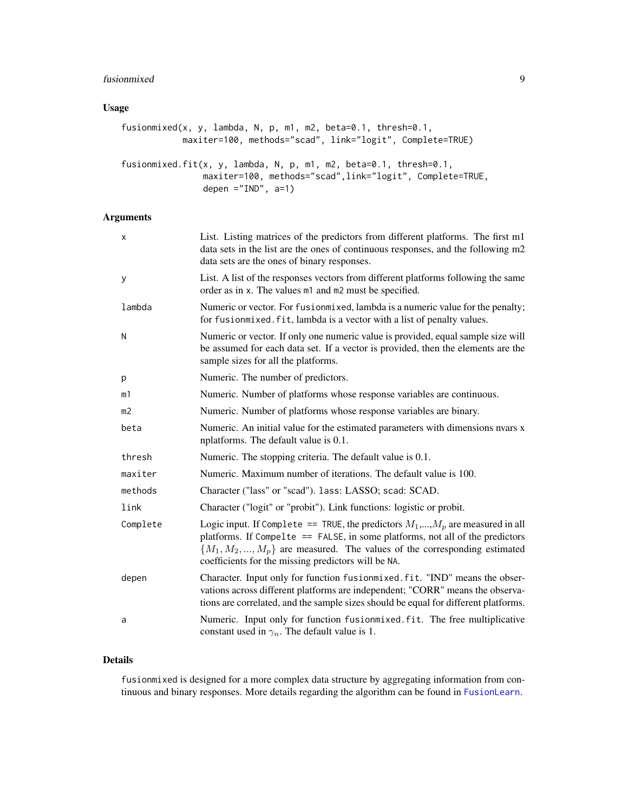## <span id="page-8-0"></span>fusionmixed 9

## Usage

```
fusionmixed(x, y, lambda, N, p, m1, m2, beta=0.1, thresh=0.1,
           maxiter=100, methods="scad", link="logit", Complete=TRUE)
fusionmixed.fit(x, y, lambda, N, p, m1, m2, beta=0.1, thresh=0.1,
               maxiter=100, methods="scad",link="logit", Complete=TRUE,
               depen ="IND", a=1)
```
## Arguments

| X              | List. Listing matrices of the predictors from different platforms. The first m1<br>data sets in the list are the ones of continuous responses, and the following m2<br>data sets are the ones of binary responses.                                                                                     |
|----------------|--------------------------------------------------------------------------------------------------------------------------------------------------------------------------------------------------------------------------------------------------------------------------------------------------------|
| У              | List. A list of the responses vectors from different platforms following the same<br>order as in x. The values m1 and m2 must be specified.                                                                                                                                                            |
| lambda         | Numeric or vector. For fusionmixed, lambda is a numeric value for the penalty;<br>for fusionmixed. fit, lambda is a vector with a list of penalty values.                                                                                                                                              |
| Ν              | Numeric or vector. If only one numeric value is provided, equal sample size will<br>be assumed for each data set. If a vector is provided, then the elements are the<br>sample sizes for all the platforms.                                                                                            |
| р              | Numeric. The number of predictors.                                                                                                                                                                                                                                                                     |
| m1             | Numeric. Number of platforms whose response variables are continuous.                                                                                                                                                                                                                                  |
| m <sub>2</sub> | Numeric. Number of platforms whose response variables are binary.                                                                                                                                                                                                                                      |
| beta           | Numeric. An initial value for the estimated parameters with dimensions nyars x<br>nplatforms. The default value is 0.1.                                                                                                                                                                                |
| thresh         | Numeric. The stopping criteria. The default value is 0.1.                                                                                                                                                                                                                                              |
| maxiter        | Numeric. Maximum number of iterations. The default value is 100.                                                                                                                                                                                                                                       |
| methods        | Character ("lass" or "scad"). lass: LASSO; scad: SCAD.                                                                                                                                                                                                                                                 |
| link           | Character ("logit" or "probit"). Link functions: logistic or probit.                                                                                                                                                                                                                                   |
| Complete       | Logic input. If Complete == TRUE, the predictors $M_1,,M_p$ are measured in all<br>platforms. If Compelte == FALSE, in some platforms, not all of the predictors<br>${M_1, M_2, , M_p}$ are measured. The values of the corresponding estimated<br>coefficients for the missing predictors will be NA. |
| depen          | Character. Input only for function fusionmixed. fit. "IND" means the obser-<br>vations across different platforms are independent; "CORR" means the observa-<br>tions are correlated, and the sample sizes should be equal for different platforms.                                                    |
| a              | Numeric. Input only for function fusionmixed. fit. The free multiplicative<br>constant used in $\gamma_n$ . The default value is 1.                                                                                                                                                                    |

## Details

fusionmixed is designed for a more complex data structure by aggregating information from continuous and binary responses. More details regarding the algorithm can be found in [FusionLearn](#page-1-1).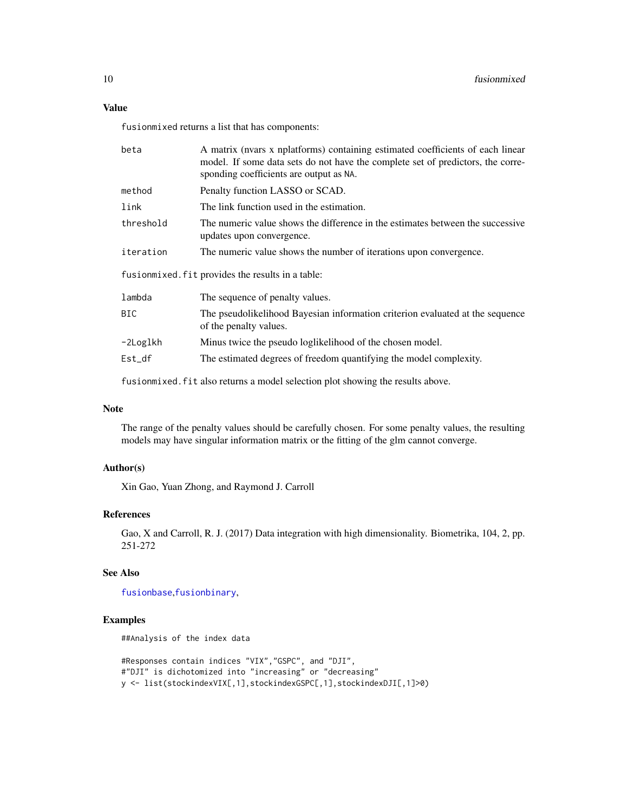## <span id="page-9-0"></span>Value

fusionmixed returns a list that has components:

| beta      | A matrix (nvars x nplatforms) containing estimated coefficients of each linear<br>model. If some data sets do not have the complete set of predictors, the corre-<br>sponding coefficients are output as NA. |
|-----------|--------------------------------------------------------------------------------------------------------------------------------------------------------------------------------------------------------------|
| method    | Penalty function LASSO or SCAD.                                                                                                                                                                              |
| link      | The link function used in the estimation.                                                                                                                                                                    |
| threshold | The numeric value shows the difference in the estimates between the successive<br>updates upon convergence.                                                                                                  |
| iteration | The numeric value shows the number of iterations upon convergence.                                                                                                                                           |
|           | fusionmixed. fit provides the results in a table:                                                                                                                                                            |
| lambda    | The sequence of penalty values.                                                                                                                                                                              |
| BIC.      | The pseudolikelihood Bayesian information criterion evaluated at the sequence<br>of the penalty values.                                                                                                      |
| -2Loglkh  | Minus twice the pseudo loglikelihood of the chosen model.                                                                                                                                                    |
| $Est_d$   | The estimated degrees of freedom quantifying the model complexity.                                                                                                                                           |
|           |                                                                                                                                                                                                              |

fusionmixed.fit also returns a model selection plot showing the results above.

#### Note

The range of the penalty values should be carefully chosen. For some penalty values, the resulting models may have singular information matrix or the fitting of the glm cannot converge.

#### Author(s)

Xin Gao, Yuan Zhong, and Raymond J. Carroll

#### References

Gao, X and Carroll, R. J. (2017) Data integration with high dimensionality. Biometrika, 104, 2, pp. 251-272

#### See Also

[fusionbase](#page-3-1),[fusionbinary](#page-5-1),

## Examples

```
##Analysis of the index data
```
#Responses contain indices "VIX","GSPC", and "DJI", #"DJI" is dichotomized into "increasing" or "decreasing" y <- list(stockindexVIX[,1],stockindexGSPC[,1],stockindexDJI[,1]>0)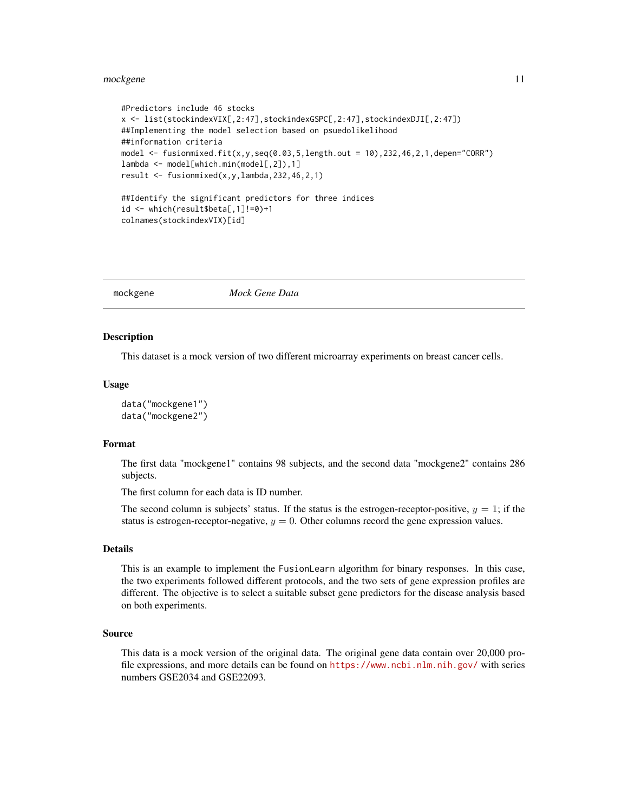#### <span id="page-10-0"></span>mockgene and the state of the state of the state of the state of the state of the state of the state of the state of the state of the state of the state of the state of the state of the state of the state of the state of t

```
#Predictors include 46 stocks
x <- list(stockindexVIX[,2:47],stockindexGSPC[,2:47],stockindexDJI[,2:47])
##Implementing the model selection based on psuedolikelihood
##information criteria
model \leq fusionmixed.fit(x,y,seq(0.03,5,length.out = 10),232,46,2,1,depen="CORR")
lambda <- model[which.min(model[,2]),1]
result <- fusionmixed(x,y,lambda,232,46,2,1)
##Identify the significant predictors for three indices
id <- which(result$beta[,1]!=0)+1
colnames(stockindexVIX)[id]
```
mockgene *Mock Gene Data*

#### Description

This dataset is a mock version of two different microarray experiments on breast cancer cells.

#### Usage

```
data("mockgene1")
data("mockgene2")
```
#### Format

The first data "mockgene1" contains 98 subjects, and the second data "mockgene2" contains 286 subjects.

The first column for each data is ID number.

The second column is subjects' status. If the status is the estrogen-receptor-positive,  $y = 1$ ; if the status is estrogen-receptor-negative,  $y = 0$ . Other columns record the gene expression values.

#### Details

This is an example to implement the FusionLearn algorithm for binary responses. In this case, the two experiments followed different protocols, and the two sets of gene expression profiles are different. The objective is to select a suitable subset gene predictors for the disease analysis based on both experiments.

#### Source

This data is a mock version of the original data. The original gene data contain over 20,000 profile expressions, and more details can be found on <https://www.ncbi.nlm.nih.gov/> with series numbers GSE2034 and GSE22093.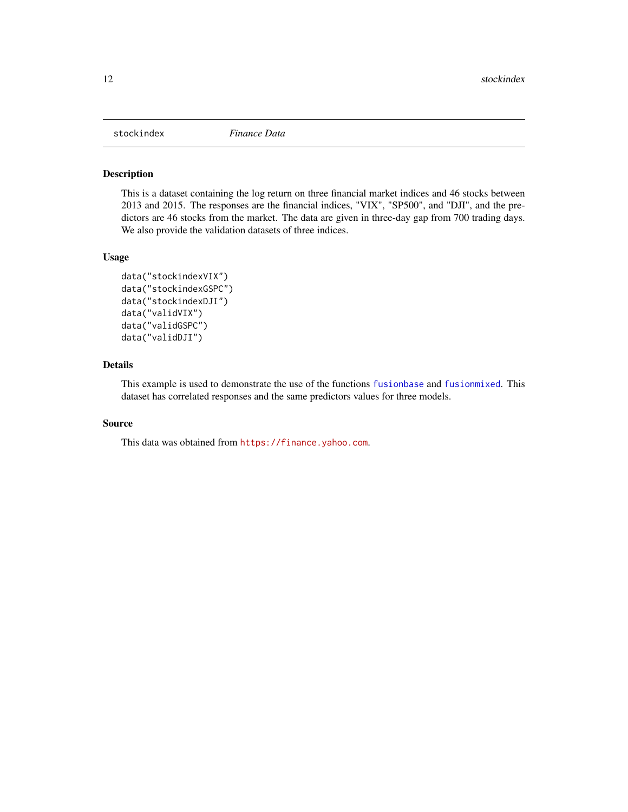<span id="page-11-0"></span>

## Description

This is a dataset containing the log return on three financial market indices and 46 stocks between 2013 and 2015. The responses are the financial indices, "VIX", "SP500", and "DJI", and the predictors are 46 stocks from the market. The data are given in three-day gap from 700 trading days. We also provide the validation datasets of three indices.

#### Usage

```
data("stockindexVIX")
data("stockindexGSPC")
data("stockindexDJI")
data("validVIX")
data("validGSPC")
data("validDJI")
```
#### Details

This example is used to demonstrate the use of the functions [fusionbase](#page-3-1) and [fusionmixed](#page-7-1). This dataset has correlated responses and the same predictors values for three models.

#### Source

This data was obtained from <https://finance.yahoo.com>.